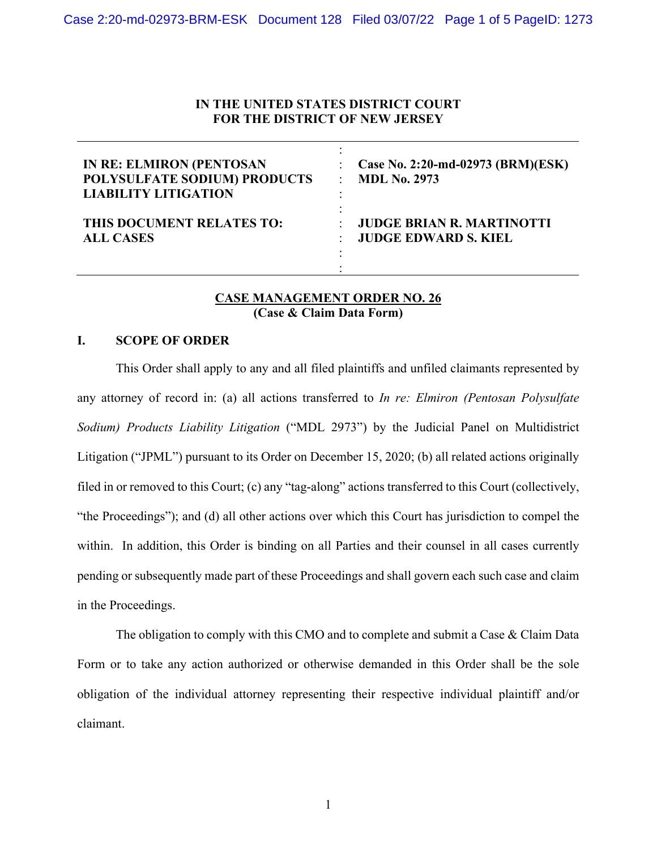#### **IN THE UNITED STATES DISTRICT COURT FOR THE DISTRICT OF NEW JERSEY**

| <b>IN RE: ELMIRON (PENTOSAN</b><br>POLYSULFATE SODIUM) PRODUCTS<br><b>LIABILITY LITIGATION</b> | Case No. 2:20-md-02973 (BRM)(ESK)<br><b>MDL No. 2973</b> |
|------------------------------------------------------------------------------------------------|----------------------------------------------------------|
| THIS DOCUMENT RELATES TO:                                                                      | <b>JUDGE BRIAN R. MARTINOTTI</b>                         |
| <b>ALL CASES</b>                                                                               | <b>JUDGE EDWARD S. KIEL</b>                              |

#### **CASE MANAGEMENT ORDER NO. 26 (Case & Claim Data Form)**

#### **I. SCOPE OF ORDER**

This Order shall apply to any and all filed plaintiffs and unfiled claimants represented by any attorney of record in: (a) all actions transferred to *In re: Elmiron (Pentosan Polysulfate Sodium) Products Liability Litigation* ("MDL 2973") by the Judicial Panel on Multidistrict Litigation ("JPML") pursuant to its Order on December 15, 2020; (b) all related actions originally filed in or removed to this Court; (c) any "tag-along" actions transferred to this Court (collectively, "the Proceedings"); and (d) all other actions over which this Court has jurisdiction to compel the within. In addition, this Order is binding on all Parties and their counsel in all cases currently pending or subsequently made part of these Proceedings and shall govern each such case and claim in the Proceedings.

The obligation to comply with this CMO and to complete and submit a Case & Claim Data Form or to take any action authorized or otherwise demanded in this Order shall be the sole obligation of the individual attorney representing their respective individual plaintiff and/or claimant.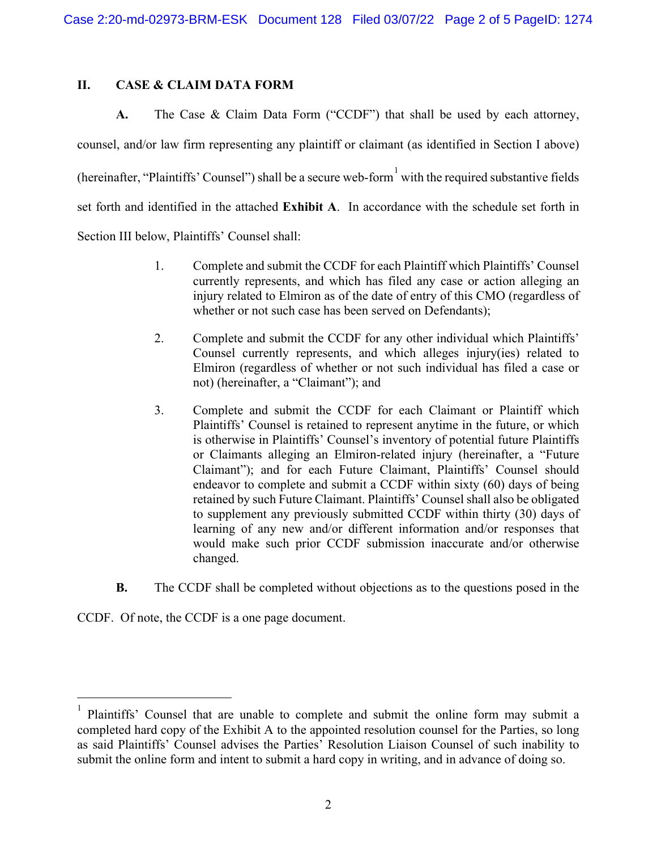### **II. CASE & CLAIM DATA FORM**

**A.** The Case & Claim Data Form ("CCDF") that shall be used by each attorney, counsel, and/or law firm representing any plaintiff or claimant (as identified in Section I above) (hereinafter, "Plaintiffs' Counsel") shall be a secure web-form  $\frac{1}{1}$  $\frac{1}{1}$  $\frac{1}{1}$  with the required substantive fields set forth and identified in the attached **Exhibit A**. In accordance with the schedule set forth in Section III below, Plaintiffs' Counsel shall:

- 1. Complete and submit the CCDF for each Plaintiff which Plaintiffs' Counsel currently represents, and which has filed any case or action alleging an injury related to Elmiron as of the date of entry of this CMO (regardless of whether or not such case has been served on Defendants);
- 2. Complete and submit the CCDF for any other individual which Plaintiffs' Counsel currently represents, and which alleges injury(ies) related to Elmiron (regardless of whether or not such individual has filed a case or not) (hereinafter, a "Claimant"); and
- 3. Complete and submit the CCDF for each Claimant or Plaintiff which Plaintiffs' Counsel is retained to represent anytime in the future, or which is otherwise in Plaintiffs' Counsel's inventory of potential future Plaintiffs or Claimants alleging an Elmiron-related injury (hereinafter, a "Future Claimant"); and for each Future Claimant, Plaintiffs' Counsel should endeavor to complete and submit a CCDF within sixty (60) days of being retained by such Future Claimant. Plaintiffs' Counsel shall also be obligated to supplement any previously submitted CCDF within thirty (30) days of learning of any new and/or different information and/or responses that would make such prior CCDF submission inaccurate and/or otherwise changed.
- **B.** The CCDF shall be completed without objections as to the questions posed in the

CCDF. Of note, the CCDF is a one page document.

<sup>1</sup> Plaintiffs' Counsel that are unable to complete and submit the online form may submit a completed hard copy of the Exhibit A to the appointed resolution counsel for the Parties, so long as said Plaintiffs' Counsel advises the Parties' Resolution Liaison Counsel of such inability to submit the online form and intent to submit a hard copy in writing, and in advance of doing so.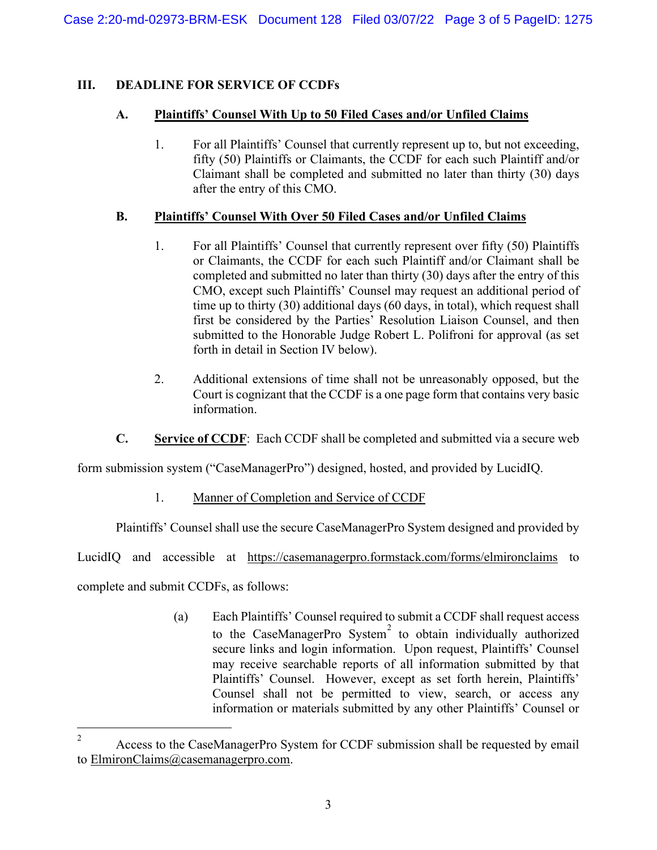# **III. DEADLINE FOR SERVICE OF CCDFs**

### **A. Plaintiffs' Counsel With Up to 50 Filed Cases and/or Unfiled Claims**

1. For all Plaintiffs' Counsel that currently represent up to, but not exceeding, fifty (50) Plaintiffs or Claimants, the CCDF for each such Plaintiff and/or Claimant shall be completed and submitted no later than thirty (30) days after the entry of this CMO.

## **B. Plaintiffs' Counsel With Over 50 Filed Cases and/or Unfiled Claims**

- 1. For all Plaintiffs' Counsel that currently represent over fifty (50) Plaintiffs or Claimants, the CCDF for each such Plaintiff and/or Claimant shall be completed and submitted no later than thirty (30) days after the entry of this CMO, except such Plaintiffs' Counsel may request an additional period of time up to thirty (30) additional days (60 days, in total), which request shall first be considered by the Parties' Resolution Liaison Counsel, and then submitted to the Honorable Judge Robert L. Polifroni for approval (as set forth in detail in Section IV below).
- 2. Additional extensions of time shall not be unreasonably opposed, but the Court is cognizant that the CCDF is a one page form that contains very basic information.
- **C. Service of CCDF**: Each CCDF shall be completed and submitted via a secure web

form submission system ("CaseManagerPro") designed, hosted, and provided by LucidIQ.

1. Manner of Completion and Service of CCDF

Plaintiffs' Counsel shall use the secure CaseManagerPro System designed and provided by

LucidIQ and accessible at <https://casemanagerpro.formstack.com/forms/elmironclaims> to

complete and submit CCDFs, as follows:

(a) Each Plaintiffs' Counsel required to submit a CCDF shall request access to the CaseManagerPro System<sup>[2](#page-3-0)</sup> to obtain individually authorized secure links and login information. Upon request, Plaintiffs' Counsel may receive searchable reports of all information submitted by that Plaintiffs' Counsel. However, except as set forth herein, Plaintiffs' Counsel shall not be permitted to view, search, or access any information or materials submitted by any other Plaintiffs' Counsel or

<sup>&</sup>lt;sup>2</sup> Access to the CaseManagerPro System for CCDF submission shall be requested by email to [ElmironClaims@casemanagerpro.com.](mailto:ElmironClaims@casemanagerpro.com)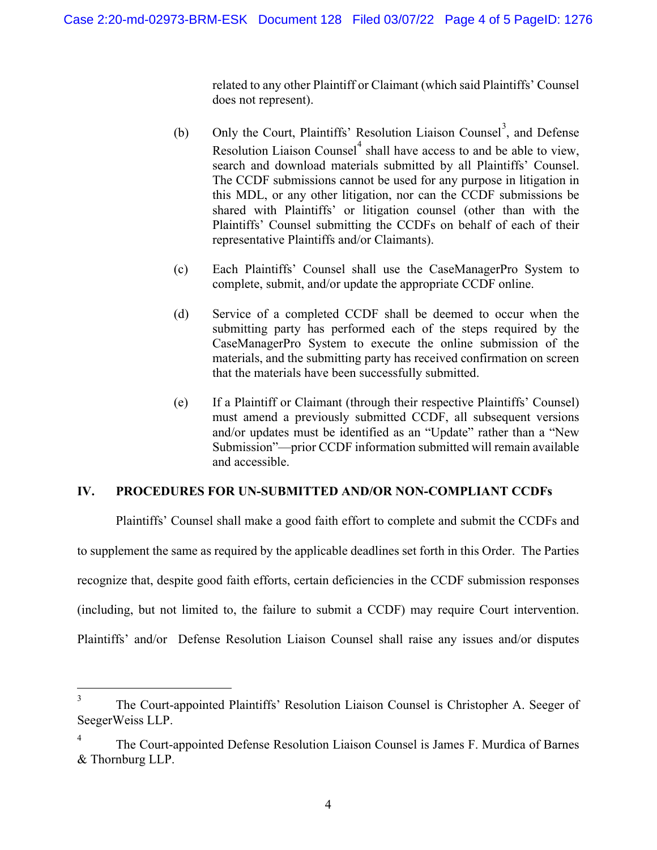related to any other Plaintiff or Claimant (which said Plaintiffs' Counsel does not represent).

- (b) Only the Court, Plaintiffs' Resolution Liaison Counsel<sup>[3](#page-3-0)</sup>, and Defense Resolution Liaison Counsel<sup>[4](#page-3-0)</sup> shall have access to and be able to view, search and download materials submitted by all Plaintiffs' Counsel. The CCDF submissions cannot be used for any purpose in litigation in this MDL, or any other litigation, nor can the CCDF submissions be shared with Plaintiffs' or litigation counsel (other than with the Plaintiffs' Counsel submitting the CCDFs on behalf of each of their representative Plaintiffs and/or Claimants).
- (c) Each Plaintiffs' Counsel shall use the CaseManagerPro System to complete, submit, and/or update the appropriate CCDF online.
- (d) Service of a completed CCDF shall be deemed to occur when the submitting party has performed each of the steps required by the CaseManagerPro System to execute the online submission of the materials, and the submitting party has received confirmation on screen that the materials have been successfully submitted.
- (e) If a Plaintiff or Claimant (through their respective Plaintiffs' Counsel) must amend a previously submitted CCDF, all subsequent versions and/or updates must be identified as an "Update" rather than a "New Submission"—prior CCDF information submitted will remain available and accessible.

### **IV. PROCEDURES FOR UN-SUBMITTED AND/OR NON-COMPLIANT CCDFs**

Plaintiffs' Counsel shall make a good faith effort to complete and submit the CCDFs and to supplement the same as required by the applicable deadlines set forth in this Order. The Parties recognize that, despite good faith efforts, certain deficiencies in the CCDF submission responses (including, but not limited to, the failure to submit a CCDF) may require Court intervention. Plaintiffs' and/or Defense Resolution Liaison Counsel shall raise any issues and/or disputes

<sup>&</sup>lt;sup>3</sup> The Court-appointed Plaintiffs' Resolution Liaison Counsel is Christopher A. Seeger of SeegerWeiss LLP.

<span id="page-3-0"></span><sup>4</sup> The Court-appointed Defense Resolution Liaison Counsel is James F. Murdica of Barnes & Thornburg LLP.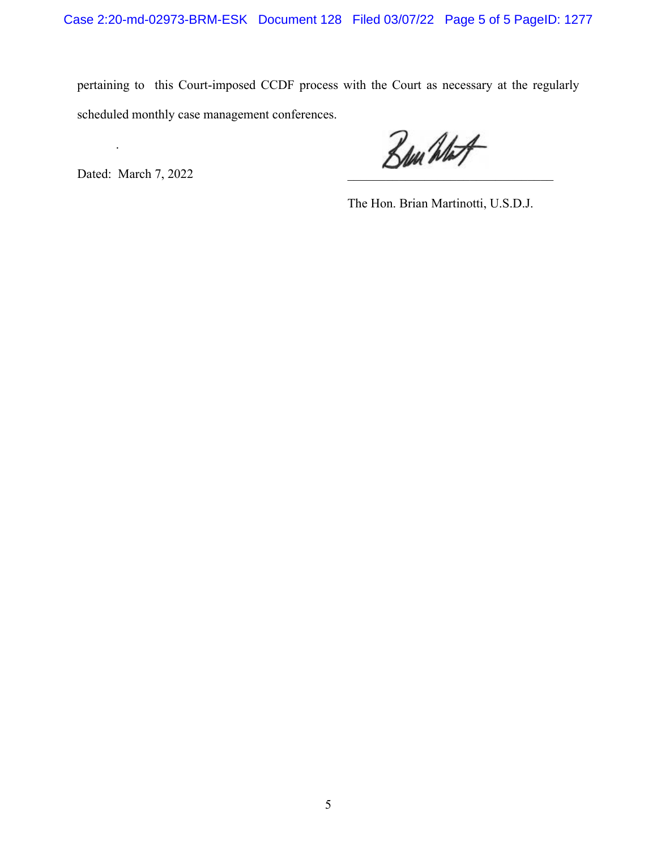pertaining to this Court-imposed CCDF process with the Court as necessary at the regularly scheduled monthly case management conferences.

.

Dated: March 7, 2022  $\mathcal{B}_{\mu\nu}$  what

The Hon. Brian Martinotti, U.S.D.J.